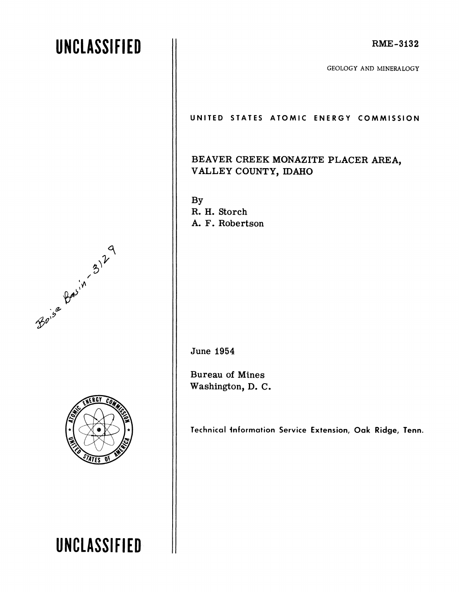# **UNCLASSIFIED**

GEOLOGY AND MINERALOGY

### UNITED STATES ATOMIC ENERGY COMMISSION

# BEAVER CREEK MONAZITE PLACER AREA, VALLEY COUNTY, IDAHO

By R. H. Storch A. F. Robertson

June 1954

Bureau of Mines Washington, D. C.

Technical Information Service Extension, Oak Ridge, Tenn.





**UN CLASS I FlED**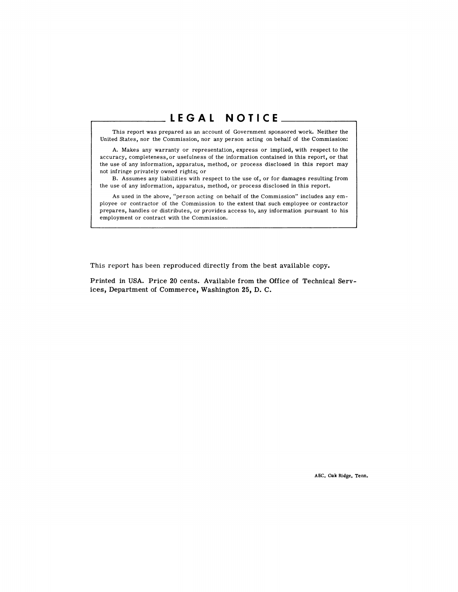# **LEGAL NOTICE**

This report was prepared as an account of Government sponsored work. Neither the United States, nor the Commission, nor any person acting on behalf of the Commission:

A. Makes any warranty or representation, express or implied, with respect to the accuracy, completeness, or usefulness of the information contained in this report, or that the use of any information, apparatus, method, or process disclosed in this report may not infringe privately owned rights; or

B. Assumes any liabilities with respect to the use of, or for damages resulting from the use of any information, apparatus, method, or process disclosed in this report.

As used in the above, "person acting on behalf of the Commission" includes any employee or contractor of the Commission to the extent that such employee or contractor prepares, handles or distributes, or provides access to, any information pursuant to his employment or contract with the Commission.

This report has been reproduced directly from the best available copy.

Printed in USA. Price 20 cents. Available from the Office of Technical Services, Department of Commerce, Washington 25, D. C.

AEC, Oak Ridge, Tenn.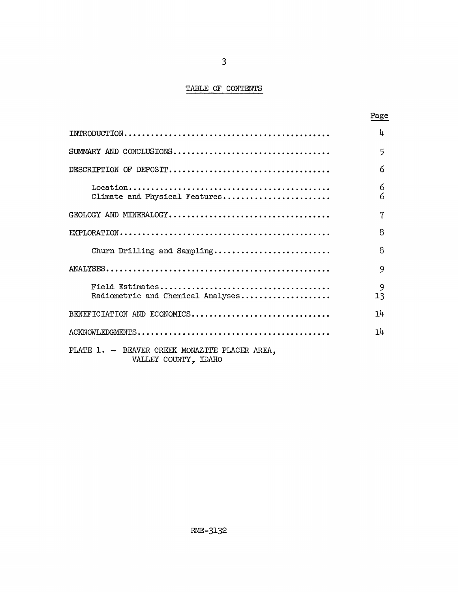## TABLE OF CONTENTS

|                                                                                                                                             | Page           |
|---------------------------------------------------------------------------------------------------------------------------------------------|----------------|
|                                                                                                                                             | h              |
|                                                                                                                                             | 5              |
| DESCRIPTION OF DEPOSIT                                                                                                                      | 6              |
| $Location \dots \dots \dots \dots \dots \dots \dots \dots \dots \dots \dots \dots \dots \dots \dots \dots$<br>Climate and Physical Features | 6<br>6         |
| GEOLOGY AND MINERALOGY                                                                                                                      | $\overline{7}$ |
| $\texttt{EXPI}.\texttt{ORATION} \dots \dots \dots \dots \dots \dots \dots \dots \dots \dots \dots \dots \dots \dots \dots \dots \dots$      | 8              |
| Churn Drilling and Sampling                                                                                                                 | 8              |
|                                                                                                                                             | 9              |
| Radiometric and Chemical Analyses                                                                                                           | 9<br>13        |
| BENEFICIATION AND ECONOMICS                                                                                                                 | 14             |
|                                                                                                                                             | 14             |
| PLATE 1. - BEAVER CREEK MONAZITE PLACER AREA,<br>VALLEY COUNTY, IDAHO                                                                       |                |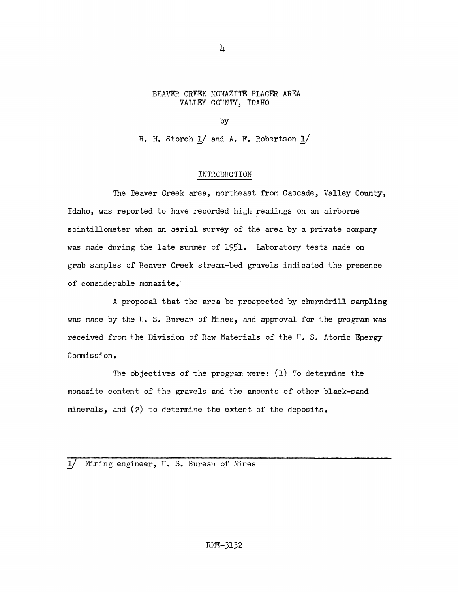#### BEAVER CREEK MONAZTTE PLACER AREA VALLEY COUNTY, IDAHO

 $\frac{1}{4}$ 

by

R. H. Storch 1/ and A. F. Robertson 1/

#### INTRODUCTION

The Beaver Creek area, northeast from Cascade, Valley County, Idaho, was reported to have recorded high readings on an airborne scintillometer when an aerial survey of the area by a private company was made during the late summer of 1951. Laboratory tests made on grab samples of Beaver Creek stream-bed gravels indicated the presence of considerable monazite.

A proposal that the area be prospected by churndrill sampling was made by the U.S. Bureau of Mines, and approval for the program was received from the Division of Raw Materials of the U.S. Atomic Energy Commission.

The objectives of the program were: (1) To determine the monazite content of the gravels and the amounts of other black-sand minerals, and (2) to determine the extent of the deposits.

#### 1/ Mining engineer, U. S. Bureau of Mines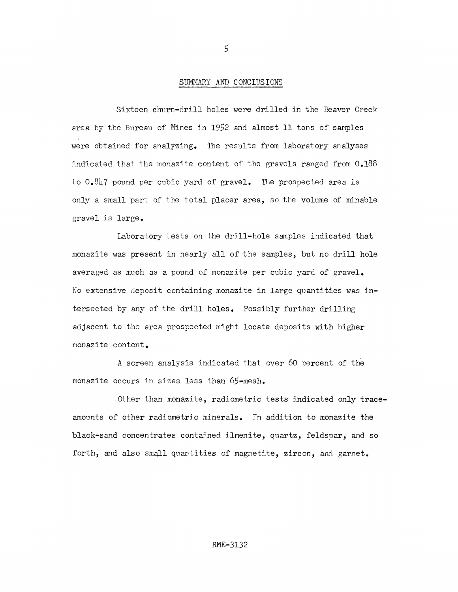#### SUMMARY AND CONCLUSIONS

Sixteen churn-drill holes were drilled in the Deaver Creek area by the Bureau of Mines in 1952 and almost 11 tons of samples were obtained for analyzing. The results from laboratory analyses indicated that the monazite content of the gravels ranged from  $0.188$ to  $0.847$  pound per cubic yard of gravel. The prospected area is only a small part of the total placer area, so the volume of minable gravel is large.

Laboratory tests on the drill-hole samples indicated that monazite was present in nearly all of the samples, but no drill hole averaged as much as a pound of monazite per cubic yard of gravel. No extensive deposit containing monazite in large quantities was intersected by any of the drill holes. Possibly further drilling adjacent to the area prospected might locate deposits with higher monazite content.

A screen analysis indicated that over 60 percent of the monazite occurs in sizes less than 65-mesh.

other than monazite, radiometric tests indicated only traceamounts of other radiometric minerals. In addition to monazite the black-sand concentrates contained ilmenite, quartz, feldspar, and so forth, and also small quantities of magnetite, zircon, and garnet.

 $\mathbf{5}$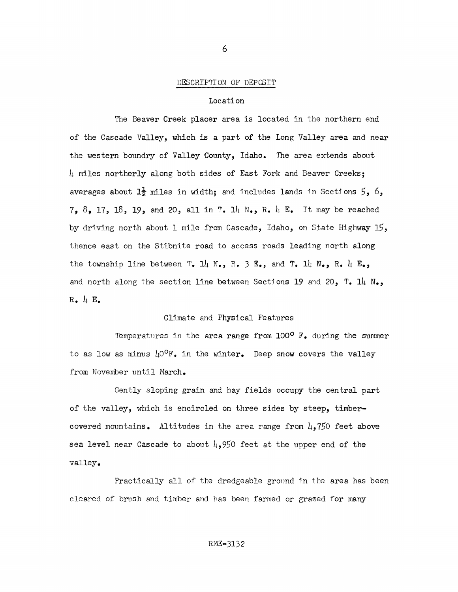#### DESCRIPTION OF DEPOSIT

#### Location

The Beaver Creek placer area is located in the northern end of the Cascade Valley, which is a part of the Long Valley area and near the western boundry of Valley County, Idaho. The area extends about  $\mu$  miles northerly along both sides of East Fork and Beaver Creeks; averages about  $1\frac{1}{2}$  miles in width; and includes lands in Sections 5, 6,  $7, 8, 17, 18, 19$ , and 20, all in  $T. 11 \text{ N}$ , R. 4 E. It may be reached by driving north about 1 mile from Cascade, Idaho, on State Highway 15, thence east on the Stibnite road to access roads leading north along the township line between T. 14 N., R. 3 E., and T. 14 N., R. 4 E., and north along the section line between Sections 19 and 20, T. 14 N.,  $R_{\bullet}$  4 E.

#### Climate and Physical Features

Temperatures in the area range from  $100^{\circ}$  F. during the summer to as low as minus  $\text{10}^{\text{O}}\text{F}$ . in the winter. Deep snow covers the valley from November until March.

Gently sloping grain and hay fields occupy the central part of the valley, which is encircled on three sides by steep, timbercovered mountains. Altitudes in the area range from  $\mu$ , 750 feet above sea level near Cascade to about  $\mu$ , 950 feet at the upper end of the **valley.** 

Practically all of the dredgeable ground in the area has been cleared of brush and timber and has been farmed or grazed for many

RME-3132

6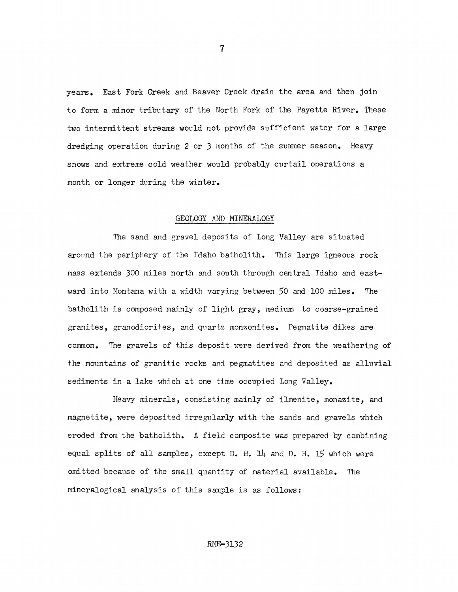years. East Fork Creek and Beaver Creek drain the area and then join to form a minor tributary of the North Fork of the Payette River. These two intermittent streams would not provide sufficient water for a large dredging operation during 2 or 3 months of the summer season. Heavy snows and extreme cold weather would probably curtail operations a month or longer during the winter.

#### GEOLOGY AND MINERALOGY

The sand and gravel deposits of Long Valley are situated around the periphery of the Idaho batholith. This large igneous rock mass extends 300 miles north and south through central Idaho and eastward into Montana with a width varying between 50 and 100 miles. The batholith is composed mainly of light gray, medium to coarse-grained granites, granodiorites, and quartz monzonites. Pegmatite dikes are common. The gravels of this deposit were derived from the weathering of the mountains of granitic rocks and pegmatites and deposited as alluvial sediments in a lake which at one time occupied Long Valley.

Heavy minerals, consisting mainly of ilmenite, monazite, and magnetite, were deposited irregularly with the sands and gravels which eroded from the batholith. A field composite was prepared by combining equal splits of all samples, except D. H. 1 $\mu$  and D. H. 15 which were omitted because of the small quantity of material available. The mineralogical analysis of this sample is as follows:

7

#### RME-3132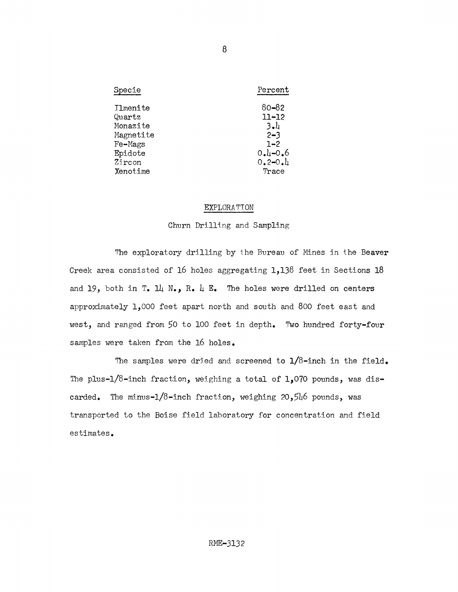| Specie          | Percent     |
|-----------------|-------------|
| <b>Tlmenite</b> | $80 - 82$   |
| Quartz          | $11 - 12$   |
| Monazite        | 3.1         |
| Magnetite       | $2 - 3$     |
| Fe-Mags         | $1 - 2$     |
| Epidote         | $0.4 - 0.6$ |
| Zircon          | $0.2 - 0.1$ |
| Xenotime        | Trace       |
|                 |             |

#### EXPLORATION

#### Churn Drilling and Sampling

The exploratory drilling by the Bureau of Mines in the Beaver Creek area consisted of 16 holes aggregating 1,138 feet in Sections 18 and 19, both in T. 14 N., R. 4 E. The holes were drilled on centers approximately 1,000 feet apart north and south and 800 feet east and west, and ranged from 50 to 100 feet in depth. Two hundred forty-four samples were taken from the 16 holes.

The samples were dried and screened to  $1/8$ -inch in the field. The plus-1/8-inch fraction, weighing a total of  $1,070$  pounds, was discarded. The minus- $1/8$ -inch fraction, weighing 20,546 pounds, was transported to the Boise field laboratory for concentration and field estimates.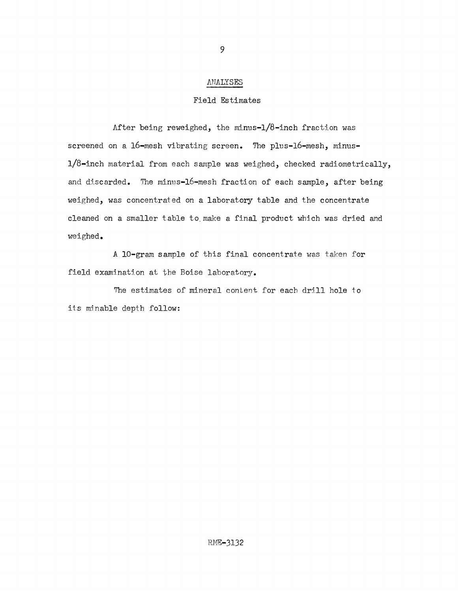#### ANALYSES

#### Field Estimates

After being reweighed, the minus- $1/8$ -inch fraction was screened on a 16-mesh vibrating screen. The plus-16-mesh, minus-1/8-inch material from each sample was weighed, checked radiometrically, and discarded. The minus-16-mesh fraction of each sample, after being weighed, was concentrated on a laboratory table and the concentrate cleaned on a smaller table to make a final product which was dried and weighed.

A 10-gram sample of this final concentrate was taken for field examination at the Boise laboratory.

The estimates of mineral content for each drill hole to its minable depth follow: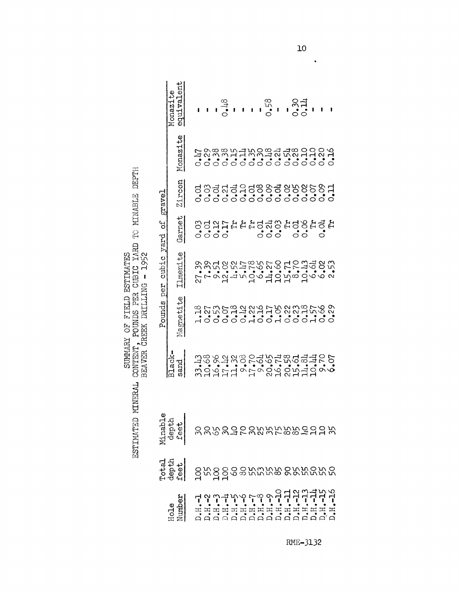|                                                                                                                                  | $\ddot{\phantom{0}}$<br>$\frac{1}{2}$                                                                 |                                                               |
|----------------------------------------------------------------------------------------------------------------------------------|-------------------------------------------------------------------------------------------------------|---------------------------------------------------------------|
|                                                                                                                                  |                                                                                                       |                                                               |
|                                                                                                                                  |                                                                                                       |                                                               |
| TIMMARRY OF FITT. D FREETMATH<br>֧֧֧֧֧֧֧֧֧֧ׅ֧֧֧֧֧֧֧֧֧֧֧֚֚֚֚֚֚֚֚֚֚֚֚֚֚֚֚֚֝֕֝֓֝֓֝֬֝֬֝֬֝֬֝֬֝֬֝֬֜֓֝֬֝֬֝֬֝֬֝֬֝֬֝֬֝֬֝֬֝֬<br>---------- | , CONTENT, POUNDS PER CUBIC YARD TO MINABLE                                                           | $\frac{1}{1}$<br>$\mathbf{I}$<br><b>PRAVER CREEK DRITITMS</b> |
|                                                                                                                                  |                                                                                                       | i<br>1<br>1<br>1                                              |
|                                                                                                                                  | .<br>.<br>.<br>.<br>.<br>.<br>.<br>.<br>.<br>.<br>.<br>.<br>.<br><br><br><br><br><br><br><br><br><br> |                                                               |
|                                                                                                                                  | $\mathbf{r}$ , and $\mathbf{r}$ and $\mathbf{r}$ and $\mathbf{r}$                                     |                                                               |

|                          | Monazite<br>equivalent   |                                                       |  |  |  |  |  |  |  |
|--------------------------|--------------------------|-------------------------------------------------------|--|--|--|--|--|--|--|
|                          | Monazite                 |                                                       |  |  |  |  |  |  |  |
| gravel                   | Zircon                   | ಿಂಂಂಂಂಂಂಂಂಂಂಂಂಂಂಂಂಂಂ<br>ಇಲ್ಲಿ ಇಲ್ಲಿ ಇಲ್ಲಿ ಇಲ್ಲಿ ಇಲ್ಲಿ |  |  |  |  |  |  |  |
|                          | <b>Garnet</b>            |                                                       |  |  |  |  |  |  |  |
| Pounds per cubic yard of | Clmenite                 |                                                       |  |  |  |  |  |  |  |
|                          | Magnetite                |                                                       |  |  |  |  |  |  |  |
|                          | lack-                    |                                                       |  |  |  |  |  |  |  |
|                          | Minable<br>depth<br>feet | <b>88883588#FBB3358</b>                               |  |  |  |  |  |  |  |
|                          | rotal<br>1epth<br>feet   | grggssrrrsskrrrr                                      |  |  |  |  |  |  |  |
|                          |                          |                                                       |  |  |  |  |  |  |  |

RME-3132

 $10$ 

 $\ddot{\phantom{0}}$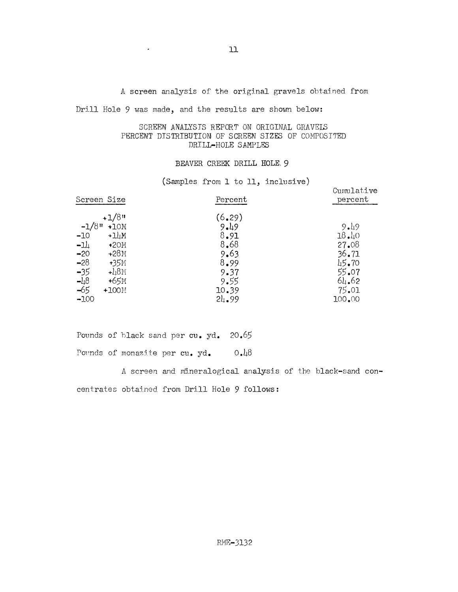A screen analysis of the original gravels obtained from

Drill Hole 9 was made, and the results are shown below:

 $\bullet$  .

#### SCREEN ANALYSIS REPORT ON ORIGINAL GRAVELS PERCENT DISTRIBUTION OF SCREEN SIZES OF COMPOSITED DRILL-HOLE SAMPLES

#### BEAVER CREEK DRILL HOLE. 9

(Samples from l to 11, inclusive)

| Screen Size        | Percent | Cumulative<br>percent |
|--------------------|---------|-----------------------|
| $+1/8$ "           | (6, 29) |                       |
| $-1/8$ "<br>$+10M$ | 9.49    | 9.49                  |
| $+11M$<br>$-10$    | 8.91    | 18.40                 |
| $-1$<br>$*20M$     | 8.68    | 27.08                 |
| $+28M$<br>$-20$    | 9.63    | 36.71                 |
| $-28$<br>$+35M$    | 8.99    | 45.70                 |
| $+l_18M$<br>$-35$  | 9.37    | 55.07                 |
| $-l_18$<br>$+65M$  | 9.55    | 64.62                 |
| $-65$<br>$+100M$   | 10.39   | 75.01                 |
| $-100$             | 21.99   | 100.00                |
|                    |         |                       |

Pounds of black sand per cu. yd. 20.65 Pounds of monazite per cu. yd. 0.48

A screen and m'ineralogical analysis of the black-sand concentrates obtained from Drill Hole 9 follows: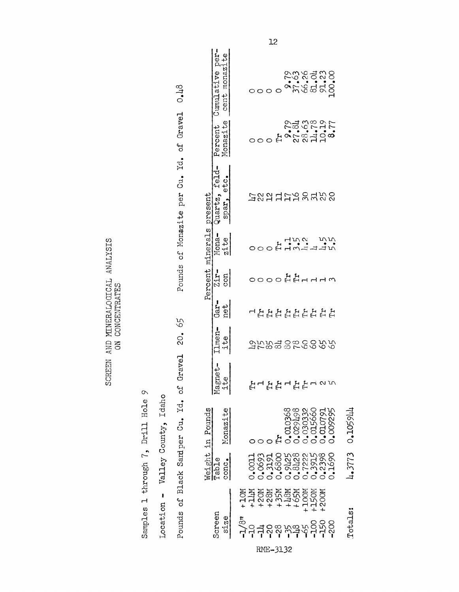SCREEN AND MINERALOGICAL ANALYSIS<br>ON CONCENTRATES

Samples 1 through 7, Drill Hole 9

 $12$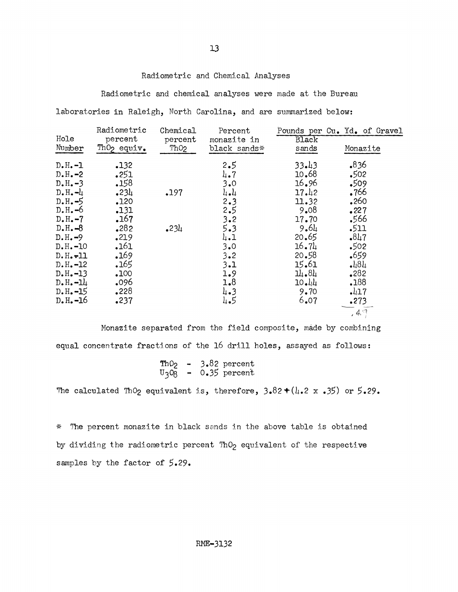#### Radiometric and Chemical Analyses

Radiometric and chemical analyses were made at the Bureau

laboratories in Raleigh, North Carolina, and are summarized below:

|              | Radiometric   | Chemical | Percent          |              | Pounds per Cu. Yd. of Gravel |
|--------------|---------------|----------|------------------|--------------|------------------------------|
| Hole         | percent       | percent  | monazite in      | <b>Black</b> |                              |
| Number       | Th $0$ equiv. | ThO2     | black sands*     | sands        | Monazite                     |
| $D.H.-1$     | .132          |          | 2.5              | 33.43        | .836                         |
| $D.H.-2$     | .251          |          | $l_{\bullet}$ .7 | 10.68        | 502                          |
| $D.H. -3$    | .158          |          | 3.0              | 16.96        | .509                         |
| $D.H. -l_1$  | .234          | .197     | $l_1$ . $l_1$    | 17.42        | .766                         |
| $D.H.-5$     | .120          |          | 2.3              | 11.32        | .260                         |
| $D.H.-6$     | .131          |          | 2.5              | 9.08         | .227                         |
| $D.H.-7$     | .167          |          | 3.2              | 17.70        | .566                         |
| $D.H.-8$     | .282          | .234     | 5.3              | 9.61         | .511                         |
| $D.H.-9$     | .219          |          | 4.1              | 20.65        | .847                         |
| $D.H.-10$    | .161          |          | 3.0              | 16.71        | .502                         |
| $D.H.-11$    | .169          |          | 3.2              | 20.58        | .659                         |
| $D.H. -12$   | .165          |          | 3.1              | 15.61        | $-481$                       |
| $D.H. -13$   | .100          |          | 1.9              | 11.81        | •282                         |
| $D - H - 11$ | .096          |          | 1.8              | 10.44        | .188                         |
| $D.H. -15$   | .228          |          | 4.3              | 9.70         | $-417$                       |
| $D•H•=16$    | .237          |          | 4.5              | 6.07         | .273                         |
|              |               |          |                  |              | ,49                          |

Monazite separated from the field composite, made by combining equal concentrate fractions of the 16 drill holes, assayed as follows:

$$
ThO2 - 3.82 percentU3O8 - 0.35 percent
$$

The calculated ThO<sub>2</sub> equivalent is, therefore,  $3.82 + (4.2 \times .35)$  or  $5.29$ .

\* The percent monazite in black sands in the above table is obtained by dividing the radiometric percent ThO<sub>2</sub> equivalent of the respective samples by the factor of 5.29.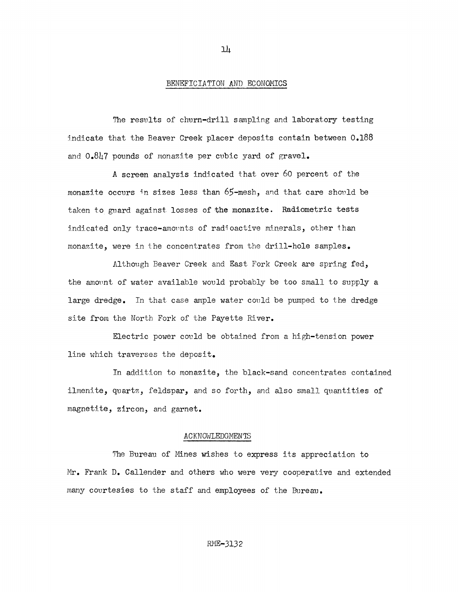#### BENEFICIATION AND ECONOMICS

The results of churn-drill sampling and laboratory testing indicate that the Beaver Creek placer deposits contain between 0.188 and  $0.847$  pounds of monazite per cubic yard of gravel.

A screen analysis indicated that over 60 percent of the monazite occurs in sizes less than 65-mesh, and that care should be taken to guard against losses of the monazite. Radiometric tests indicated only trace-am01mts of radioactive minerals, other than monazite, were in the concentrates from the drill-hole samples.

Although Beaver Creek and East Fork Creek are spring fed, the amount of water available would probably be too small to supply a large dredge. In that case ample water could be pumped to the dredge site from the North Fork of the Payette River.

Electric power could be obtained from a high-tension power line which traverses the deposit.

In addition to monazite, the black-sand concentrates contained ilmenite, quartz, feldspar, and so forth, and also small quantities of magnetite, zircon, and garnet.

#### ACKNOVJLEDGMEN'IS

The Bureau of Mines wishes to express its appreciation to Mr. Frank D. Callender and others who were very cooperative and extended many courtesies to the staff and employees of the Bureau.

#### RME-3132

14